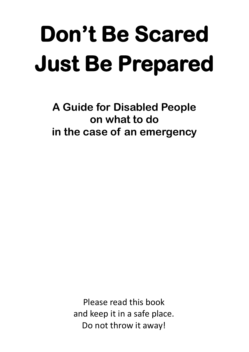# **Don't Be Scared Just Be Prepared**

**A Guide for Disabled People on what to do in the case of an emergency**

> Please read this book and keep it in a safe place. Do not throw it away!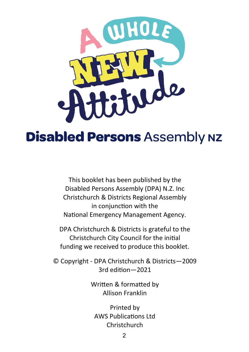

# **Disabled Persons Assembly NZ**

This booklet has been published by the Disabled Persons Assembly (DPA) N.Z. Inc Christchurch & Districts Regional Assembly in conjunction with the National Emergency Management Agency.

DPA Christchurch & Districts is grateful to the Christchurch City Council for the initial funding we received to produce this booklet.

© Copyright - DPA Christchurch & Districts—2009 3rd edition—2021

> Written & formatted by Allison Franklin

Printed by AWS Publications Ltd Christchurch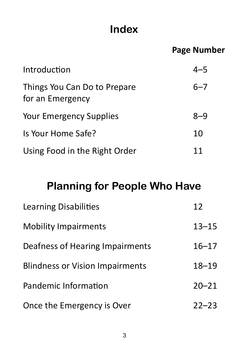# **Index**

#### **Page Number**

| Introduction                                     | $4 - 5$ |
|--------------------------------------------------|---------|
| Things You Can Do to Prepare<br>for an Emergency | $6 - 7$ |
| <b>Your Emergency Supplies</b>                   | $8 - 9$ |
| Is Your Home Safe?                               | 10      |
| Using Food in the Right Order                    | 11      |

## **Planning for People Who Have**

| <b>Learning Disabilities</b>           | 12        |
|----------------------------------------|-----------|
| <b>Mobility Impairments</b>            | $13 - 15$ |
| Deafness of Hearing Impairments        | $16 - 17$ |
| <b>Blindness or Vision Impairments</b> | $18 - 19$ |
| Pandemic Information                   | $20 - 21$ |
| Once the Emergency is Over             | $22 - 23$ |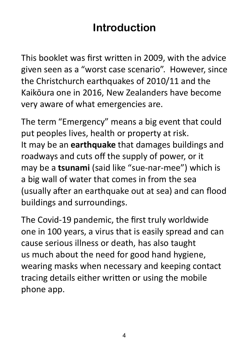## **Introduction**

This booklet was first written in 2009, with the advice given seen as a "worst case scenario". However, since the Christchurch earthquakes of 2010/11 and the Kaikōura one in 2016, New Zealanders have become very aware of what emergencies are.

The term "Emergency" means a big event that could put peoples lives, health or property at risk. It may be an **earthquake** that damages buildings and roadways and cuts off the supply of power, or it may be a **tsunami** (said like "sue-nar-mee") which is a big wall of water that comes in from the sea (usually after an earthquake out at sea) and can flood buildings and surroundings.

The Covid-19 pandemic, the first truly worldwide one in 100 years, a virus that is easily spread and can cause serious illness or death, has also taught us much about the need for good hand hygiene, wearing masks when necessary and keeping contact tracing details either written or using the mobile phone app.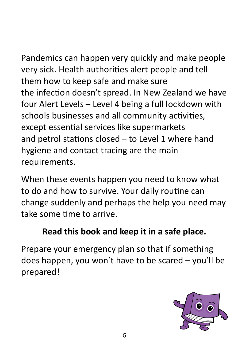Pandemics can happen very quickly and make people very sick. Health authorities alert people and tell them how to keep safe and make sure the infection doesn't spread. In New Zealand we have four Alert Levels – Level 4 being a full lockdown with schools businesses and all community activities, except essential services like supermarkets and petrol stations closed – to Level 1 where hand hygiene and contact tracing are the main requirements.

When these events happen you need to know what to do and how to survive. Your daily routine can change suddenly and perhaps the help you need may take some time to arrive.

#### **Read this book and keep it in a safe place.**

Prepare your emergency plan so that if something does happen, you won't have to be scared – you'll be prepared!

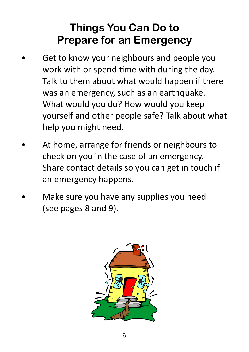#### **Things You Can Do to Prepare for an Emergency**

- Get to know your neighbours and people you work with or spend time with during the day. Talk to them about what would happen if there was an emergency, such as an earthquake. What would you do? How would you keep yourself and other people safe? Talk about what help you might need.
- At home, arrange for friends or neighbours to check on you in the case of an emergency. Share contact details so you can get in touch if an emergency happens.
- Make sure you have any supplies you need (see pages 8 and 9).

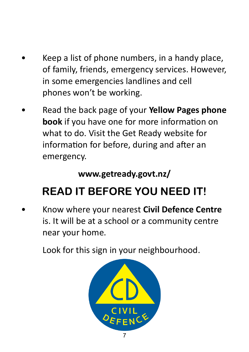- Keep a list of phone numbers, in a handy place, of family, friends, emergency services. However, in some emergencies landlines and cell phones won't be working.
- Read the back page of your **Yellow Pages phone book** if you have one for more information on what to do. Visit the Get Ready website for information for before, during and after an emergency.

#### **www.getready.govt.nz/**

# **READ IT BEFORE YOU NEED IT!**

• Know where your nearest **Civil Defence Centre** is. It will be at a school or a community centre near your home.

Look for this sign in your neighbourhood.

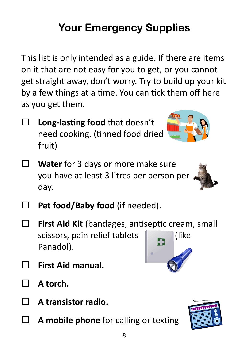# **Your Emergency Supplies**

This list is only intended as a guide. If there are items on it that are not easy for you to get, or you cannot get straight away, don't worry. Try to build up your kit by a few things at a time. You can tick them off here as you get them.

- **Long-lasting food** that doesn't need cooking. (tinned food dried fruit)
- **Water** for 3 days or more make sure you have at least 3 litres per person per day.
- **Pet food/Baby food** (if needed).
- **First Aid Kit** (bandages, antiseptic cream, small scissors, pain relief tablets (see all like Panadol).

8

- **First Aid manual.**
- **A torch.**
- **A transistor radio.**
	- **A mobile phone** for calling or texting







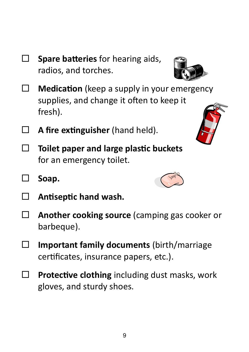- **Spare batteries** for hearing aids, radios, and torches.
- **Medication** (keep a supply in your emergency supplies, and change it often to keep it fresh).
- **A fire extinguisher** (hand held).
- **Toilet paper and large plastic buckets**  for an emergency toilet.
- **Soap.**
- **Antiseptic hand wash.**
- **Another cooking source** (camping gas cooker or barbeque).
- **Important family documents** (birth/marriage certificates, insurance papers, etc.).
- **Protective clothing** including dust masks, work gloves, and sturdy shoes.



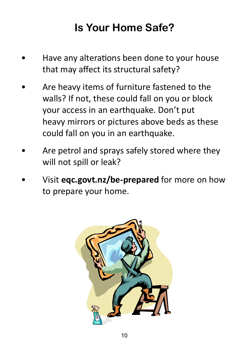## **Is Your Home Safe?**

- Have any alterations been done to your house that may affect its structural safety?
- Are heavy items of furniture fastened to the walls? If not, these could fall on you or block your access in an earthquake. Don't put heavy mirrors or pictures above beds as these could fall on you in an earthquake.
- Are petrol and sprays safely stored where they will not spill or leak?
- Visit **eqc.govt.nz/be-prepared** for more on how to prepare your home.

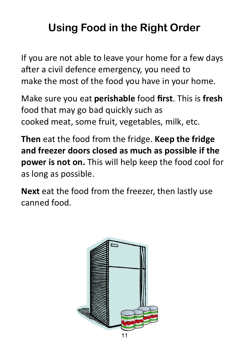# **Using Food in the Right Order**

If you are not able to leave your home for a few days after a civil defence emergency, you need to make the most of the food you have in your home.

Make sure you eat **perishable** food **first**. This is **fresh**  food that may go bad quickly such as cooked meat, some fruit, vegetables, milk, etc.

**Then** eat the food from the fridge. **Keep the fridge and freezer doors closed as much as possible if the power is not on.** This will help keep the food cool for as long as possible.

**Next** eat the food from the freezer, then lastly use canned food.

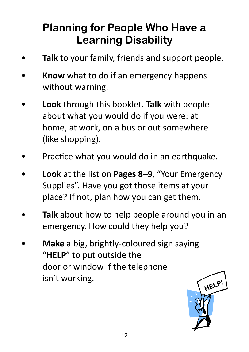#### **Planning for People Who Have a Learning Disability**

- **Talk** to your family, friends and support people.
- **Know** what to do if an emergency happens without warning.
- **Look** through this booklet. **Talk** with people about what you would do if you were: at home, at work, on a bus or out somewhere (like shopping).
- Practice what you would do in an earthquake.
- **Look** at the list on **Pages 8–9**, "Your Emergency Supplies". Have you got those items at your place? If not, plan how you can get them.
- **Talk** about how to help people around you in an emergency. How could they help you?
- **Make** a big, brightly-coloured sign saying "**HELP**" to put outside the door or window if the telephone isn't working.

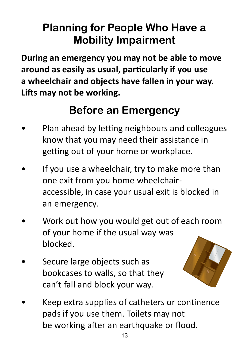#### **Planning for People Who Have a Mobility Impairment**

**During an emergency you may not be able to move around as easily as usual, particularly if you use a wheelchair and objects have fallen in your way. Lifts may not be working.**

# **Before an Emergency**

- Plan ahead by letting neighbours and colleagues know that you may need their assistance in getting out of your home or workplace.
- If you use a wheelchair, try to make more than one exit from you home wheelchairaccessible, in case your usual exit is blocked in an emergency.
- Work out how you would get out of each room of your home if the usual way was blocked.
- Secure large objects such as bookcases to walls, so that they can't fall and block your way.



Keep extra supplies of catheters or continence pads if you use them. Toilets may not be working after an earthquake or flood.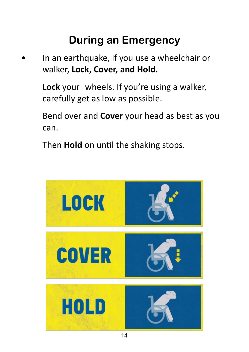## **During an Emergency**

• In an earthquake, if you use a wheelchair or walker, **Lock, Cover, and Hold.** 

> **Lock** your wheels. If you're using a walker, carefully get as low as possible.

Bend over and **Cover** your head as best as you can.

Then **Hold** on until the shaking stops.

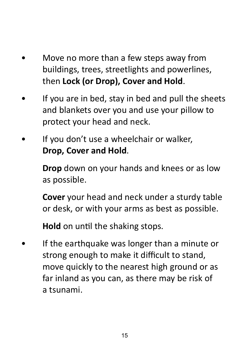- Move no more than a few steps away from buildings, trees, streetlights and powerlines, then **Lock (or Drop), Cover and Hold**.
- If you are in bed, stay in bed and pull the sheets and blankets over you and use your pillow to protect your head and neck.
- If you don't use a wheelchair or walker, **Drop, Cover and Hold**.

**Drop** down on your hands and knees or as low as possible.

**Cover** your head and neck under a sturdy table or desk, or with your arms as best as possible.

**Hold** on until the shaking stops.

If the earthquake was longer than a minute or strong enough to make it difficult to stand, move quickly to the nearest high ground or as far inland as you can, as there may be risk of a tsunami.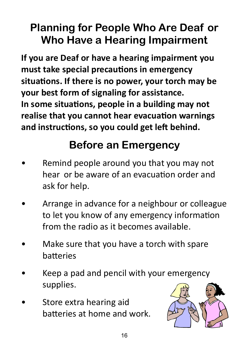#### **Planning for People Who Are Deaf or Who Have a Hearing Impairment**

**If you are Deaf or have a hearing impairment you must take special precautions in emergency situations. If there is no power, your torch may be your best form of signaling for assistance. In some situations, people in a building may not realise that you cannot hear evacuation warnings and instructions, so you could get left behind.**

## **Before an Emergency**

- Remind people around you that you may not hear or be aware of an evacuation order and ask for help.
- Arrange in advance for a neighbour or colleague to let you know of any emergency information from the radio as it becomes available.
- Make sure that you have a torch with spare batteries
- Keep a pad and pencil with your emergency supplies.
- Store extra hearing aid batteries at home and work.

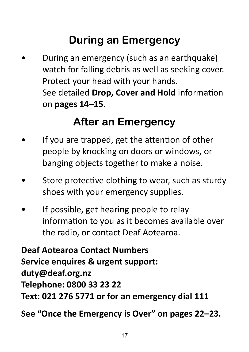# **During an Emergency**

• During an emergency (such as an earthquake) watch for falling debris as well as seeking cover. Protect your head with your hands. See detailed **Drop, Cover and Hold** information on **pages 14–15**.

#### **After an Emergency**

- If you are trapped, get the attention of other people by knocking on doors or windows, or banging objects together to make a noise.
- Store protective clothing to wear, such as sturdy shoes with your emergency supplies.
- If possible, get hearing people to relay information to you as it becomes available over the radio, or contact Deaf Aotearoa.

**Deaf Aotearoa Contact Numbers Service enquires & urgent support: duty@deaf.org.nz Telephone: 0800 33 23 22 Text: 021 276 5771 or for an emergency dial 111**

**See "Once the Emergency is Over" on pages 22–23.**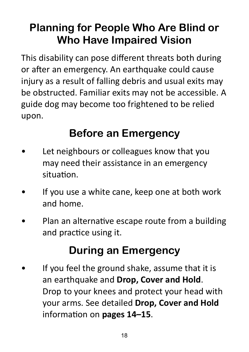### **Planning for People Who Are Blind or Who Have Impaired Vision**

This disability can pose different threats both during or after an emergency. An earthquake could cause injury as a result of falling debris and usual exits may be obstructed. Familiar exits may not be accessible. A guide dog may become too frightened to be relied upon.

#### **Before an Emergency**

- Let neighbours or colleagues know that you may need their assistance in an emergency situation.
- If you use a white cane, keep one at both work and home.
- Plan an alternative escape route from a building and practice using it.

#### **During an Emergency**

If you feel the ground shake, assume that it is an earthquake and **Drop, Cover and Hold**. Drop to your knees and protect your head with your arms. See detailed **Drop, Cover and Hold** information on **pages 14–15**.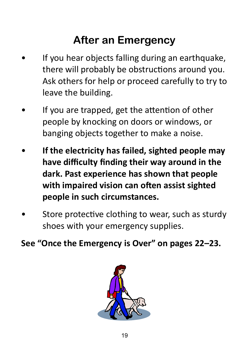## **After an Emergency**

- If you hear objects falling during an earthquake, there will probably be obstructions around you. Ask others for help or proceed carefully to try to leave the building.
- If you are trapped, get the attention of other people by knocking on doors or windows, or banging objects together to make a noise.
- **If the electricity has failed, sighted people may have difficulty finding their way around in the dark. Past experience has shown that people with impaired vision can often assist sighted people in such circumstances.**
- Store protective clothing to wear, such as sturdy shoes with your emergency supplies.

**See "Once the Emergency is Over" on pages 22–23.**

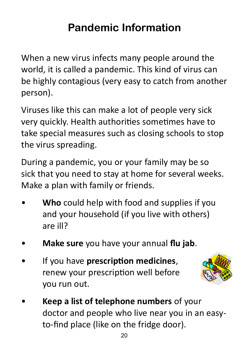# **Pandemic Information**

When a new virus infects many people around the world, it is called a pandemic. This kind of virus can be highly contagious (very easy to catch from another person).

Viruses like this can make a lot of people very sick very quickly. Health authorities sometimes have to take special measures such as closing schools to stop the virus spreading.

During a pandemic, you or your family may be so sick that you need to stay at home for several weeks. Make a plan with family or friends.

- **Who** could help with food and supplies if you and your household (if you live with others) are ill?
- **Make sure** you have your annual **flu jab**.
- If you have **prescription medicines**, renew your prescription well before you run out.



• **Keep a list of telephone numbers** of your doctor and people who live near you in an easyto-find place (like on the fridge door).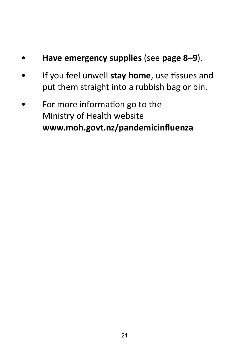#### • **Have emergency supplies** (see **page 8–9**).

- If you feel unwell **stay home**, use tissues and put them straight into a rubbish bag or bin.
- For more information go to the Ministry of Health website **www.moh.govt.nz/pandemicinfluenza**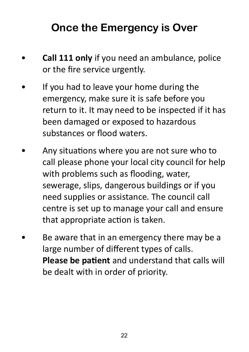## **Once the Emergency is Over**

- **Call 111 only** if you need an ambulance, police or the fire service urgently.
- If you had to leave your home during the emergency, make sure it is safe before you return to it. It may need to be inspected if it has been damaged or exposed to hazardous substances or flood waters.
- Any situations where you are not sure who to call please phone your local city council for help with problems such as flooding, water, sewerage, slips, dangerous buildings or if you need supplies or assistance. The council call centre is set up to manage your call and ensure that appropriate action is taken.
- Be aware that in an emergency there may be a large number of different types of calls. **Please be patient** and understand that calls will be dealt with in order of priority.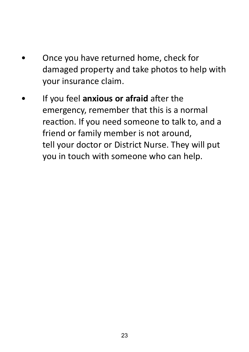- Once you have returned home, check for damaged property and take photos to help with your insurance claim.
- If you feel **anxious or afraid** after the emergency, remember that this is a normal reaction. If you need someone to talk to, and a friend or family member is not around, tell your doctor or District Nurse. They will put you in touch with someone who can help.